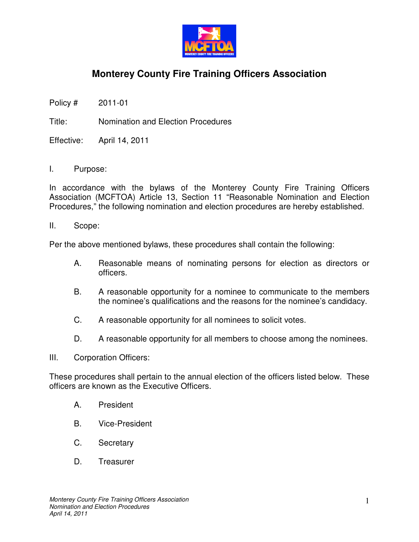

## **Monterey County Fire Training Officers Association**

Policy # 2011-01

Title: Nomination and Election Procedures

Effective: April 14, 2011

I. Purpose:

In accordance with the bylaws of the Monterey County Fire Training Officers Association (MCFTOA) Article 13, Section 11 "Reasonable Nomination and Election Procedures," the following nomination and election procedures are hereby established.

II. Scope:

Per the above mentioned bylaws, these procedures shall contain the following:

- A. Reasonable means of nominating persons for election as directors or officers.
- B. A reasonable opportunity for a nominee to communicate to the members the nominee's qualifications and the reasons for the nominee's candidacy.
- C. A reasonable opportunity for all nominees to solicit votes.
- D. A reasonable opportunity for all members to choose among the nominees.
- III. Corporation Officers:

These procedures shall pertain to the annual election of the officers listed below. These officers are known as the Executive Officers.

- A. President
- B. Vice-President
- C. Secretary
- D. Treasurer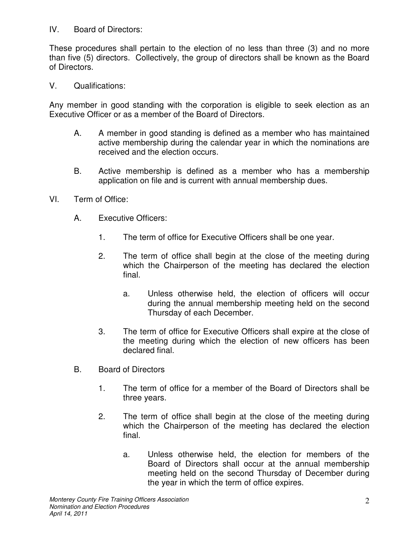## IV. Board of Directors:

These procedures shall pertain to the election of no less than three (3) and no more than five (5) directors. Collectively, the group of directors shall be known as the Board of Directors.

V. Qualifications:

Any member in good standing with the corporation is eligible to seek election as an Executive Officer or as a member of the Board of Directors.

- A. A member in good standing is defined as a member who has maintained active membership during the calendar year in which the nominations are received and the election occurs.
- B. Active membership is defined as a member who has a membership application on file and is current with annual membership dues.
- VI. Term of Office:
	- A. Executive Officers:
		- 1. The term of office for Executive Officers shall be one year.
		- 2. The term of office shall begin at the close of the meeting during which the Chairperson of the meeting has declared the election final.
			- a. Unless otherwise held, the election of officers will occur during the annual membership meeting held on the second Thursday of each December.
		- 3. The term of office for Executive Officers shall expire at the close of the meeting during which the election of new officers has been declared final.
	- B. Board of Directors
		- 1. The term of office for a member of the Board of Directors shall be three years.
		- 2. The term of office shall begin at the close of the meeting during which the Chairperson of the meeting has declared the election final.
			- a. Unless otherwise held, the election for members of the Board of Directors shall occur at the annual membership meeting held on the second Thursday of December during the year in which the term of office expires.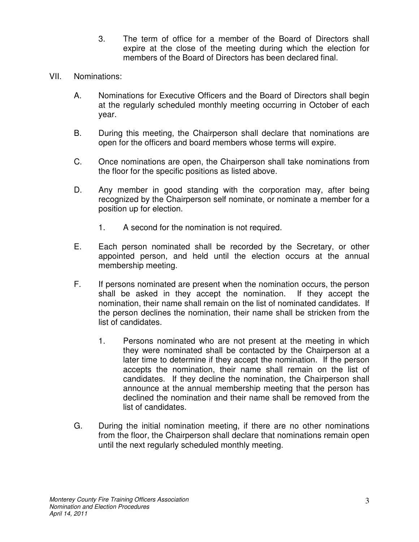- 3. The term of office for a member of the Board of Directors shall expire at the close of the meeting during which the election for members of the Board of Directors has been declared final.
- VII. Nominations:
	- A. Nominations for Executive Officers and the Board of Directors shall begin at the regularly scheduled monthly meeting occurring in October of each year.
	- B. During this meeting, the Chairperson shall declare that nominations are open for the officers and board members whose terms will expire.
	- C. Once nominations are open, the Chairperson shall take nominations from the floor for the specific positions as listed above.
	- D. Any member in good standing with the corporation may, after being recognized by the Chairperson self nominate, or nominate a member for a position up for election.
		- 1. A second for the nomination is not required.
	- E. Each person nominated shall be recorded by the Secretary, or other appointed person, and held until the election occurs at the annual membership meeting.
	- F. If persons nominated are present when the nomination occurs, the person shall be asked in they accept the nomination. If they accept the nomination, their name shall remain on the list of nominated candidates. If the person declines the nomination, their name shall be stricken from the list of candidates.
		- 1. Persons nominated who are not present at the meeting in which they were nominated shall be contacted by the Chairperson at a later time to determine if they accept the nomination. If the person accepts the nomination, their name shall remain on the list of candidates. If they decline the nomination, the Chairperson shall announce at the annual membership meeting that the person has declined the nomination and their name shall be removed from the list of candidates.
	- G. During the initial nomination meeting, if there are no other nominations from the floor, the Chairperson shall declare that nominations remain open until the next regularly scheduled monthly meeting.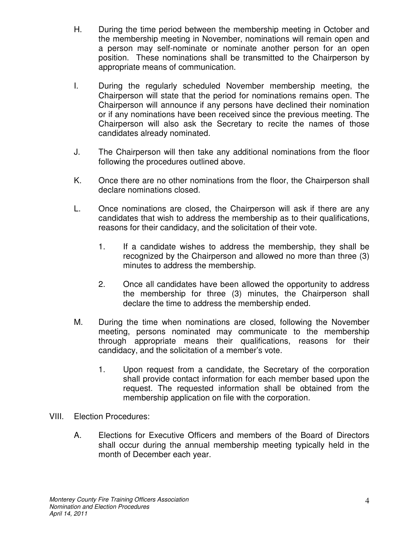- H. During the time period between the membership meeting in October and the membership meeting in November, nominations will remain open and a person may self-nominate or nominate another person for an open position. These nominations shall be transmitted to the Chairperson by appropriate means of communication.
- I. During the regularly scheduled November membership meeting, the Chairperson will state that the period for nominations remains open. The Chairperson will announce if any persons have declined their nomination or if any nominations have been received since the previous meeting. The Chairperson will also ask the Secretary to recite the names of those candidates already nominated.
- J. The Chairperson will then take any additional nominations from the floor following the procedures outlined above.
- K. Once there are no other nominations from the floor, the Chairperson shall declare nominations closed.
- L. Once nominations are closed, the Chairperson will ask if there are any candidates that wish to address the membership as to their qualifications, reasons for their candidacy, and the solicitation of their vote.
	- 1. If a candidate wishes to address the membership, they shall be recognized by the Chairperson and allowed no more than three (3) minutes to address the membership.
	- 2. Once all candidates have been allowed the opportunity to address the membership for three (3) minutes, the Chairperson shall declare the time to address the membership ended.
- M. During the time when nominations are closed, following the November meeting, persons nominated may communicate to the membership through appropriate means their qualifications, reasons for their candidacy, and the solicitation of a member's vote.
	- 1. Upon request from a candidate, the Secretary of the corporation shall provide contact information for each member based upon the request. The requested information shall be obtained from the membership application on file with the corporation.
- VIII. Election Procedures:
	- A. Elections for Executive Officers and members of the Board of Directors shall occur during the annual membership meeting typically held in the month of December each year.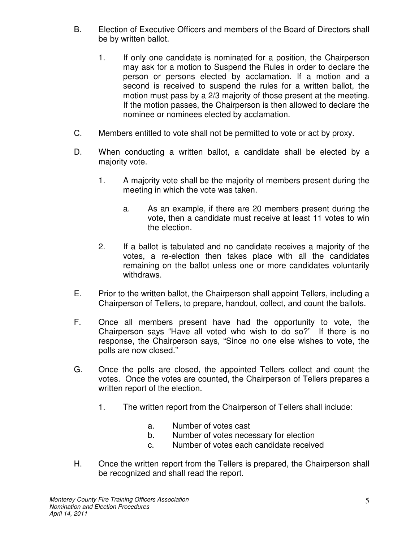- B. Election of Executive Officers and members of the Board of Directors shall be by written ballot.
	- 1. If only one candidate is nominated for a position, the Chairperson may ask for a motion to Suspend the Rules in order to declare the person or persons elected by acclamation. If a motion and a second is received to suspend the rules for a written ballot, the motion must pass by a 2/3 majority of those present at the meeting. If the motion passes, the Chairperson is then allowed to declare the nominee or nominees elected by acclamation.
- C. Members entitled to vote shall not be permitted to vote or act by proxy.
- D. When conducting a written ballot, a candidate shall be elected by a majority vote.
	- 1. A majority vote shall be the majority of members present during the meeting in which the vote was taken.
		- a. As an example, if there are 20 members present during the vote, then a candidate must receive at least 11 votes to win the election.
	- 2. If a ballot is tabulated and no candidate receives a majority of the votes, a re-election then takes place with all the candidates remaining on the ballot unless one or more candidates voluntarily withdraws.
- E. Prior to the written ballot, the Chairperson shall appoint Tellers, including a Chairperson of Tellers, to prepare, handout, collect, and count the ballots.
- F. Once all members present have had the opportunity to vote, the Chairperson says "Have all voted who wish to do so?" If there is no response, the Chairperson says, "Since no one else wishes to vote, the polls are now closed."
- G. Once the polls are closed, the appointed Tellers collect and count the votes. Once the votes are counted, the Chairperson of Tellers prepares a written report of the election.
	- 1. The written report from the Chairperson of Tellers shall include:
		- a. Number of votes cast
		- b. Number of votes necessary for election
		- c. Number of votes each candidate received
- H. Once the written report from the Tellers is prepared, the Chairperson shall be recognized and shall read the report.